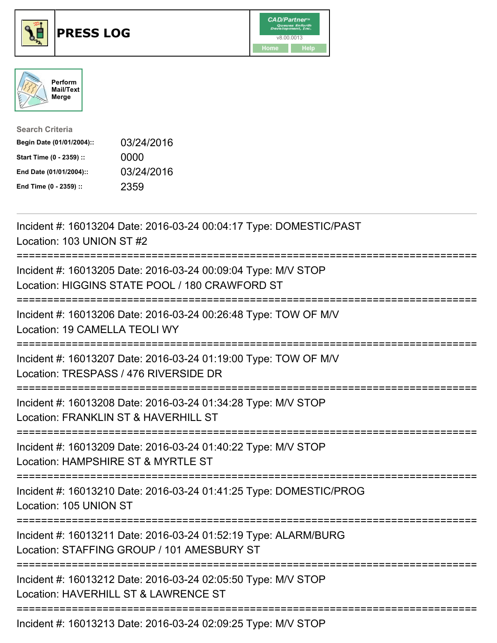

## **PRESS LOG** v8.00.0013





| <b>Search Criteria</b>    |            |
|---------------------------|------------|
| Begin Date (01/01/2004):: | 03/24/2016 |
| Start Time (0 - 2359) ::  | 0000       |
| End Date (01/01/2004)::   | 03/24/2016 |
| End Time (0 - 2359) ::    | 2359       |

Incident #: 16013204 Date: 2016-03-24 00:04:17 Type: DOMESTIC/PAST Location: 103 UNION ST #2 =========================================================================== Incident #: 16013205 Date: 2016-03-24 00:09:04 Type: M/V STOP Location: HIGGINS STATE POOL / 180 CRAWFORD ST =========================================================================== Incident #: 16013206 Date: 2016-03-24 00:26:48 Type: TOW OF M/V Location: 19 CAMELLA TEOLI WY =========================================================================== Incident #: 16013207 Date: 2016-03-24 01:19:00 Type: TOW OF M/V Location: TRESPASS / 476 RIVERSIDE DR =========================================================================== Incident #: 16013208 Date: 2016-03-24 01:34:28 Type: M/V STOP Location: FRANKLIN ST & HAVERHILL ST =========================================================================== Incident #: 16013209 Date: 2016-03-24 01:40:22 Type: M/V STOP Location: HAMPSHIRF ST & MYRTLE ST =========================================================================== Incident #: 16013210 Date: 2016-03-24 01:41:25 Type: DOMESTIC/PROG Location: 105 UNION ST =========================================================================== Incident #: 16013211 Date: 2016-03-24 01:52:19 Type: ALARM/BURG Location: STAFFING GROUP / 101 AMESBURY ST =========================================================================== Incident #: 16013212 Date: 2016-03-24 02:05:50 Type: M/V STOP Location: HAVERHILL ST & LAWRENCE ST ===========================================================================

Incident #: 16013213 Date: 2016-03-24 02:09:25 Type: M/V STOP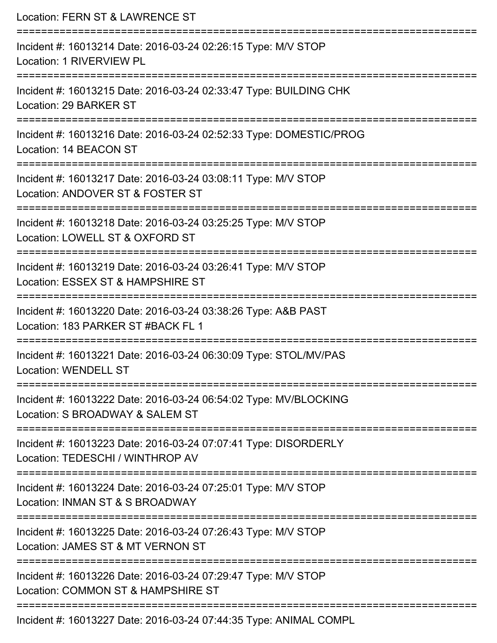| Location: FERN ST & LAWRENCE ST                                                                                                |
|--------------------------------------------------------------------------------------------------------------------------------|
| Incident #: 16013214 Date: 2016-03-24 02:26:15 Type: M/V STOP<br>Location: 1 RIVERVIEW PL                                      |
| Incident #: 16013215 Date: 2016-03-24 02:33:47 Type: BUILDING CHK<br>Location: 29 BARKER ST                                    |
| Incident #: 16013216 Date: 2016-03-24 02:52:33 Type: DOMESTIC/PROG<br>Location: 14 BEACON ST                                   |
| Incident #: 16013217 Date: 2016-03-24 03:08:11 Type: M/V STOP<br>Location: ANDOVER ST & FOSTER ST                              |
| Incident #: 16013218 Date: 2016-03-24 03:25:25 Type: M/V STOP<br>Location: LOWELL ST & OXFORD ST<br>-------------------------- |
| Incident #: 16013219 Date: 2016-03-24 03:26:41 Type: M/V STOP<br>Location: ESSEX ST & HAMPSHIRE ST                             |
| Incident #: 16013220 Date: 2016-03-24 03:38:26 Type: A&B PAST<br>Location: 183 PARKER ST #BACK FL 1                            |
| Incident #: 16013221 Date: 2016-03-24 06:30:09 Type: STOL/MV/PAS<br><b>Location: WENDELL ST</b>                                |
| Incident #: 16013222 Date: 2016-03-24 06:54:02 Type: MV/BLOCKING<br>Location: S BROADWAY & SALEM ST                            |
| Incident #: 16013223 Date: 2016-03-24 07:07:41 Type: DISORDERLY<br>Location: TEDESCHI / WINTHROP AV                            |
| Incident #: 16013224 Date: 2016-03-24 07:25:01 Type: M/V STOP<br>Location: INMAN ST & S BROADWAY                               |
| Incident #: 16013225 Date: 2016-03-24 07:26:43 Type: M/V STOP<br>Location: JAMES ST & MT VERNON ST                             |
| Incident #: 16013226 Date: 2016-03-24 07:29:47 Type: M/V STOP<br>Location: COMMON ST & HAMPSHIRE ST                            |
| Incident #: 16013227 Date: 2016-03-24 07:44:35 Type: ANIMAL COMPL                                                              |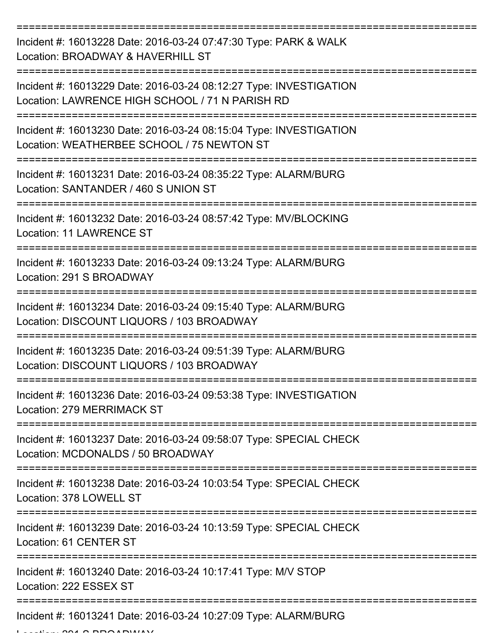| Incident #: 16013228 Date: 2016-03-24 07:47:30 Type: PARK & WALK<br>Location: BROADWAY & HAVERHILL ST                       |
|-----------------------------------------------------------------------------------------------------------------------------|
| Incident #: 16013229 Date: 2016-03-24 08:12:27 Type: INVESTIGATION<br>Location: LAWRENCE HIGH SCHOOL / 71 N PARISH RD       |
| Incident #: 16013230 Date: 2016-03-24 08:15:04 Type: INVESTIGATION<br>Location: WEATHERBEE SCHOOL / 75 NEWTON ST            |
| Incident #: 16013231 Date: 2016-03-24 08:35:22 Type: ALARM/BURG<br>Location: SANTANDER / 460 S UNION ST                     |
| Incident #: 16013232 Date: 2016-03-24 08:57:42 Type: MV/BLOCKING<br><b>Location: 11 LAWRENCE ST</b>                         |
| Incident #: 16013233 Date: 2016-03-24 09:13:24 Type: ALARM/BURG<br>Location: 291 S BROADWAY                                 |
| Incident #: 16013234 Date: 2016-03-24 09:15:40 Type: ALARM/BURG<br>Location: DISCOUNT LIQUORS / 103 BROADWAY                |
| Incident #: 16013235 Date: 2016-03-24 09:51:39 Type: ALARM/BURG<br>Location: DISCOUNT LIQUORS / 103 BROADWAY                |
| Incident #: 16013236 Date: 2016-03-24 09:53:38 Type: INVESTIGATION<br>Location: 279 MERRIMACK ST                            |
| Incident #: 16013237 Date: 2016-03-24 09:58:07 Type: SPECIAL CHECK<br>Location: MCDONALDS / 50 BROADWAY                     |
| Incident #: 16013238 Date: 2016-03-24 10:03:54 Type: SPECIAL CHECK<br>Location: 378 LOWELL ST<br>========================== |
| Incident #: 16013239 Date: 2016-03-24 10:13:59 Type: SPECIAL CHECK<br>Location: 61 CENTER ST                                |
| Incident #: 16013240 Date: 2016-03-24 10:17:41 Type: M/V STOP<br>Location: 222 ESSEX ST                                     |
| --------------------------------<br>Incident #: 16013241 Date: 2016-03-24 10:27:09 Type: ALARM/BURG                         |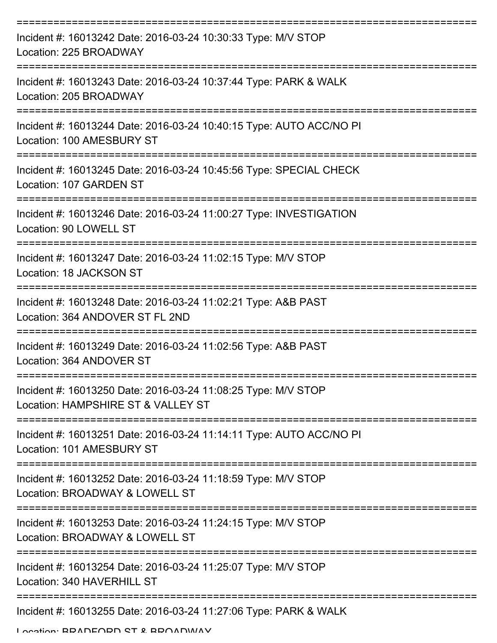| Incident #: 16013242 Date: 2016-03-24 10:30:33 Type: M/V STOP<br>Location: 225 BROADWAY             |
|-----------------------------------------------------------------------------------------------------|
| Incident #: 16013243 Date: 2016-03-24 10:37:44 Type: PARK & WALK<br>Location: 205 BROADWAY          |
| Incident #: 16013244 Date: 2016-03-24 10:40:15 Type: AUTO ACC/NO PI<br>Location: 100 AMESBURY ST    |
| Incident #: 16013245 Date: 2016-03-24 10:45:56 Type: SPECIAL CHECK<br>Location: 107 GARDEN ST       |
| Incident #: 16013246 Date: 2016-03-24 11:00:27 Type: INVESTIGATION<br>Location: 90 LOWELL ST        |
| Incident #: 16013247 Date: 2016-03-24 11:02:15 Type: M/V STOP<br>Location: 18 JACKSON ST            |
| Incident #: 16013248 Date: 2016-03-24 11:02:21 Type: A&B PAST<br>Location: 364 ANDOVER ST FL 2ND    |
| Incident #: 16013249 Date: 2016-03-24 11:02:56 Type: A&B PAST<br>Location: 364 ANDOVER ST           |
| Incident #: 16013250 Date: 2016-03-24 11:08:25 Type: M/V STOP<br>Location: HAMPSHIRE ST & VALLEY ST |
| Incident #: 16013251 Date: 2016-03-24 11:14:11 Type: AUTO ACC/NO PI<br>Location: 101 AMESBURY ST    |
| Incident #: 16013252 Date: 2016-03-24 11:18:59 Type: M/V STOP<br>Location: BROADWAY & LOWELL ST     |
| Incident #: 16013253 Date: 2016-03-24 11:24:15 Type: M/V STOP<br>Location: BROADWAY & LOWELL ST     |
| Incident #: 16013254 Date: 2016-03-24 11:25:07 Type: M/V STOP<br>Location: 340 HAVERHILL ST         |
| Incident #: 16013255 Date: 2016-03-24 11:27:06 Type: PARK & WALK                                    |

Location: BRADFORD ST & BROADWAY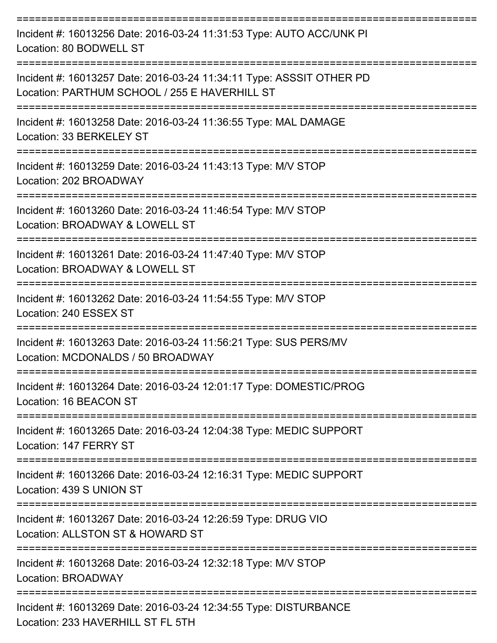| Incident #: 16013256 Date: 2016-03-24 11:31:53 Type: AUTO ACC/UNK PI<br>Location: 80 BODWELL ST                       |
|-----------------------------------------------------------------------------------------------------------------------|
| Incident #: 16013257 Date: 2016-03-24 11:34:11 Type: ASSSIT OTHER PD<br>Location: PARTHUM SCHOOL / 255 E HAVERHILL ST |
| Incident #: 16013258 Date: 2016-03-24 11:36:55 Type: MAL DAMAGE<br>Location: 33 BERKELEY ST                           |
| Incident #: 16013259 Date: 2016-03-24 11:43:13 Type: M/V STOP<br>Location: 202 BROADWAY                               |
| Incident #: 16013260 Date: 2016-03-24 11:46:54 Type: M/V STOP<br>Location: BROADWAY & LOWELL ST                       |
| Incident #: 16013261 Date: 2016-03-24 11:47:40 Type: M/V STOP<br>Location: BROADWAY & LOWELL ST                       |
| Incident #: 16013262 Date: 2016-03-24 11:54:55 Type: M/V STOP<br>Location: 240 ESSEX ST                               |
| Incident #: 16013263 Date: 2016-03-24 11:56:21 Type: SUS PERS/MV<br>Location: MCDONALDS / 50 BROADWAY                 |
| Incident #: 16013264 Date: 2016-03-24 12:01:17 Type: DOMESTIC/PROG<br>Location: 16 BEACON ST                          |
| Incident #: 16013265 Date: 2016-03-24 12:04:38 Type: MEDIC SUPPORT<br>Location: 147 FERRY ST                          |
| Incident #: 16013266 Date: 2016-03-24 12:16:31 Type: MEDIC SUPPORT<br>Location: 439 S UNION ST                        |
| Incident #: 16013267 Date: 2016-03-24 12:26:59 Type: DRUG VIO<br>Location: ALLSTON ST & HOWARD ST                     |
| Incident #: 16013268 Date: 2016-03-24 12:32:18 Type: M/V STOP<br>Location: BROADWAY                                   |
| Incident #: 16013269 Date: 2016-03-24 12:34:55 Type: DISTURBANCE<br>Location: 233 HAVERHILL ST FL 5TH                 |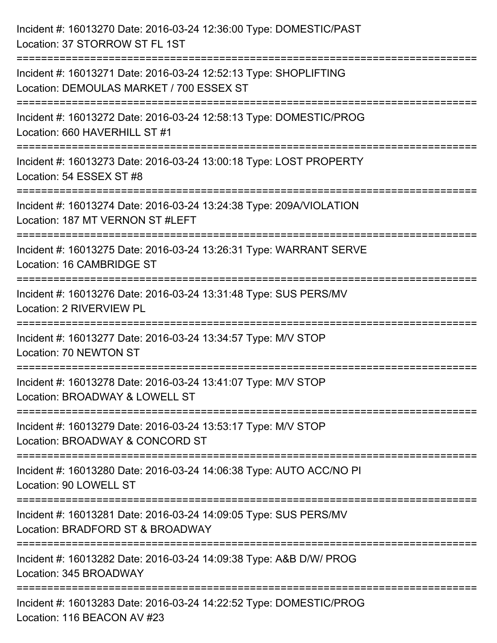| Incident #: 16013270 Date: 2016-03-24 12:36:00 Type: DOMESTIC/PAST<br>Location: 37 STORROW ST FL 1ST                                                 |
|------------------------------------------------------------------------------------------------------------------------------------------------------|
| ------------------------------------<br>Incident #: 16013271 Date: 2016-03-24 12:52:13 Type: SHOPLIFTING<br>Location: DEMOULAS MARKET / 700 ESSEX ST |
| Incident #: 16013272 Date: 2016-03-24 12:58:13 Type: DOMESTIC/PROG<br>Location: 660 HAVERHILL ST #1<br>===============================               |
| Incident #: 16013273 Date: 2016-03-24 13:00:18 Type: LOST PROPERTY<br>Location: 54 ESSEX ST #8                                                       |
| Incident #: 16013274 Date: 2016-03-24 13:24:38 Type: 209A/VIOLATION<br>Location: 187 MT VERNON ST #LEFT<br>==========================                |
| Incident #: 16013275 Date: 2016-03-24 13:26:31 Type: WARRANT SERVE<br>Location: 16 CAMBRIDGE ST                                                      |
| Incident #: 16013276 Date: 2016-03-24 13:31:48 Type: SUS PERS/MV<br>Location: 2 RIVERVIEW PL                                                         |
| Incident #: 16013277 Date: 2016-03-24 13:34:57 Type: M/V STOP<br>Location: 70 NEWTON ST                                                              |
| Incident #: 16013278 Date: 2016-03-24 13:41:07 Type: M/V STOP<br>Location: BROADWAY & LOWELL ST                                                      |
| Incident #: 16013279 Date: 2016-03-24 13:53:17 Type: M/V STOP<br>Location: BROADWAY & CONCORD ST                                                     |
| Incident #: 16013280 Date: 2016-03-24 14:06:38 Type: AUTO ACC/NO PI<br>Location: 90 LOWELL ST                                                        |
| Incident #: 16013281 Date: 2016-03-24 14:09:05 Type: SUS PERS/MV<br>Location: BRADFORD ST & BROADWAY                                                 |
| Incident #: 16013282 Date: 2016-03-24 14:09:38 Type: A&B D/W/ PROG<br>Location: 345 BROADWAY                                                         |
| Incident #: 16013283 Date: 2016-03-24 14:22:52 Type: DOMESTIC/PROG<br>Location: 116 BEACON AV #23                                                    |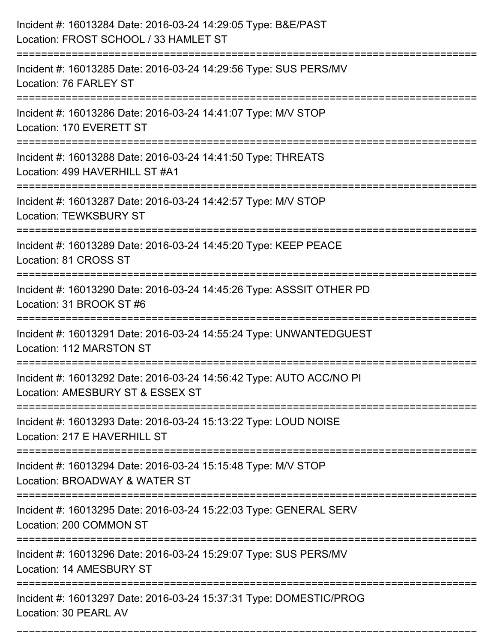| Incident #: 16013284 Date: 2016-03-24 14:29:05 Type: B&E/PAST<br>Location: FROST SCHOOL / 33 HAMLET ST                                  |
|-----------------------------------------------------------------------------------------------------------------------------------------|
| Incident #: 16013285 Date: 2016-03-24 14:29:56 Type: SUS PERS/MV<br>Location: 76 FARLEY ST                                              |
| Incident #: 16013286 Date: 2016-03-24 14:41:07 Type: M/V STOP<br>Location: 170 EVERETT ST                                               |
| Incident #: 16013288 Date: 2016-03-24 14:41:50 Type: THREATS<br>Location: 499 HAVERHILL ST #A1                                          |
| Incident #: 16013287 Date: 2016-03-24 14:42:57 Type: M/V STOP<br><b>Location: TEWKSBURY ST</b>                                          |
| Incident #: 16013289 Date: 2016-03-24 14:45:20 Type: KEEP PEACE<br>Location: 81 CROSS ST                                                |
| Incident #: 16013290 Date: 2016-03-24 14:45:26 Type: ASSSIT OTHER PD<br>Location: 31 BROOK ST #6                                        |
| Incident #: 16013291 Date: 2016-03-24 14:55:24 Type: UNWANTEDGUEST<br>Location: 112 MARSTON ST                                          |
| Incident #: 16013292 Date: 2016-03-24 14:56:42 Type: AUTO ACC/NO PI<br>Location: AMESBURY ST & ESSEX ST                                 |
| Incident #: 16013293 Date: 2016-03-24 15:13:22 Type: LOUD NOISE<br>Location: 217 E HAVERHILL ST<br>:=================================== |
| Incident #: 16013294 Date: 2016-03-24 15:15:48 Type: M/V STOP<br>Location: BROADWAY & WATER ST                                          |
| Incident #: 16013295 Date: 2016-03-24 15:22:03 Type: GENERAL SERV<br>Location: 200 COMMON ST                                            |
| Incident #: 16013296 Date: 2016-03-24 15:29:07 Type: SUS PERS/MV<br>Location: 14 AMESBURY ST                                            |
| Incident #: 16013297 Date: 2016-03-24 15:37:31 Type: DOMESTIC/PROG<br>Location: 30 PEARL AV                                             |

===========================================================================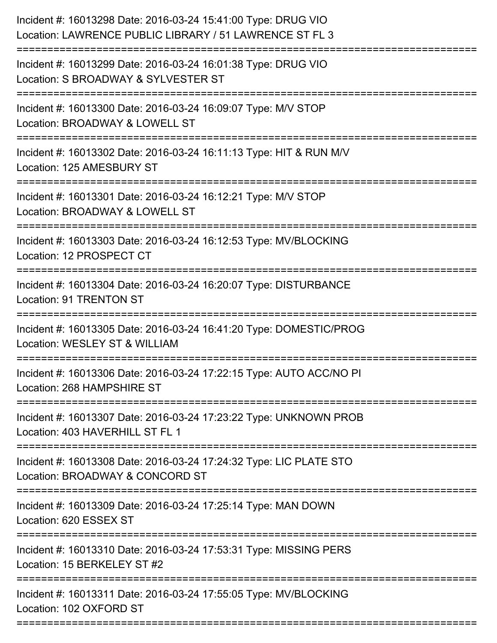| Incident #: 16013298 Date: 2016-03-24 15:41:00 Type: DRUG VIO<br>Location: LAWRENCE PUBLIC LIBRARY / 51 LAWRENCE ST FL 3   |
|----------------------------------------------------------------------------------------------------------------------------|
| Incident #: 16013299 Date: 2016-03-24 16:01:38 Type: DRUG VIO<br>Location: S BROADWAY & SYLVESTER ST                       |
| Incident #: 16013300 Date: 2016-03-24 16:09:07 Type: M/V STOP<br>Location: BROADWAY & LOWELL ST                            |
| Incident #: 16013302 Date: 2016-03-24 16:11:13 Type: HIT & RUN M/V<br>Location: 125 AMESBURY ST                            |
| Incident #: 16013301 Date: 2016-03-24 16:12:21 Type: M/V STOP<br>Location: BROADWAY & LOWELL ST                            |
| Incident #: 16013303 Date: 2016-03-24 16:12:53 Type: MV/BLOCKING<br>Location: 12 PROSPECT CT                               |
| Incident #: 16013304 Date: 2016-03-24 16:20:07 Type: DISTURBANCE<br><b>Location: 91 TRENTON ST</b>                         |
| Incident #: 16013305 Date: 2016-03-24 16:41:20 Type: DOMESTIC/PROG<br>Location: WESLEY ST & WILLIAM                        |
| Incident #: 16013306 Date: 2016-03-24 17:22:15 Type: AUTO ACC/NO PI<br>Location: 268 HAMPSHIRE ST                          |
| Incident #: 16013307 Date: 2016-03-24 17:23:22 Type: UNKNOWN PROB<br>Location: 403 HAVERHILL ST FL 1                       |
| Incident #: 16013308 Date: 2016-03-24 17:24:32 Type: LIC PLATE STO<br>Location: BROADWAY & CONCORD ST                      |
| Incident #: 16013309 Date: 2016-03-24 17:25:14 Type: MAN DOWN<br>Location: 620 ESSEX ST                                    |
| ----------------------<br>Incident #: 16013310 Date: 2016-03-24 17:53:31 Type: MISSING PERS<br>Location: 15 BERKELEY ST #2 |
| Incident #: 16013311 Date: 2016-03-24 17:55:05 Type: MV/BLOCKING<br>Location: 102 OXFORD ST                                |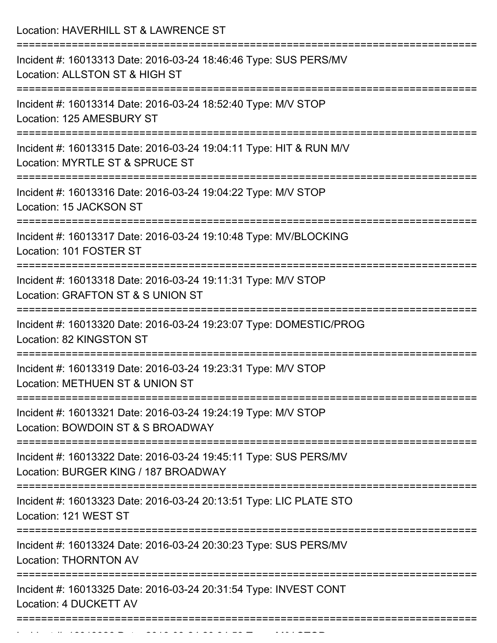| Location: HAVERHILL ST & LAWRENCE ST<br>--------------------------                                                           |
|------------------------------------------------------------------------------------------------------------------------------|
| Incident #: 16013313 Date: 2016-03-24 18:46:46 Type: SUS PERS/MV<br>Location: ALLSTON ST & HIGH ST                           |
| Incident #: 16013314 Date: 2016-03-24 18:52:40 Type: M/V STOP<br>Location: 125 AMESBURY ST<br>==========================     |
| Incident #: 16013315 Date: 2016-03-24 19:04:11 Type: HIT & RUN M/V<br>Location: MYRTLE ST & SPRUCE ST                        |
| Incident #: 16013316 Date: 2016-03-24 19:04:22 Type: M/V STOP<br>Location: 15 JACKSON ST                                     |
| Incident #: 16013317 Date: 2016-03-24 19:10:48 Type: MV/BLOCKING<br>Location: 101 FOSTER ST                                  |
| Incident #: 16013318 Date: 2016-03-24 19:11:31 Type: M/V STOP<br>Location: GRAFTON ST & S UNION ST                           |
| ---------------<br>Incident #: 16013320 Date: 2016-03-24 19:23:07 Type: DOMESTIC/PROG<br>Location: 82 KINGSTON ST            |
| Incident #: 16013319 Date: 2016-03-24 19:23:31 Type: M/V STOP<br>Location: METHUEN ST & UNION ST                             |
| Incident #: 16013321 Date: 2016-03-24 19:24:19 Type: M/V STOP<br>Location: BOWDOIN ST & S BROADWAY                           |
| Incident #: 16013322 Date: 2016-03-24 19:45:11 Type: SUS PERS/MV<br>Location: BURGER KING / 187 BROADWAY                     |
| -----------------------------<br>Incident #: 16013323 Date: 2016-03-24 20:13:51 Type: LIC PLATE STO<br>Location: 121 WEST ST |
| Incident #: 16013324 Date: 2016-03-24 20:30:23 Type: SUS PERS/MV<br><b>Location: THORNTON AV</b>                             |
| Incident #: 16013325 Date: 2016-03-24 20:31:54 Type: INVEST CONT<br>Location: 4 DUCKETT AV                                   |

Incident #: 16013326 Date: 2016 03 24 24 24 24 20:34:53 Type: M/V STOP: M/V STOP: 2016 03 24 24 24 24 24 24 24<br>.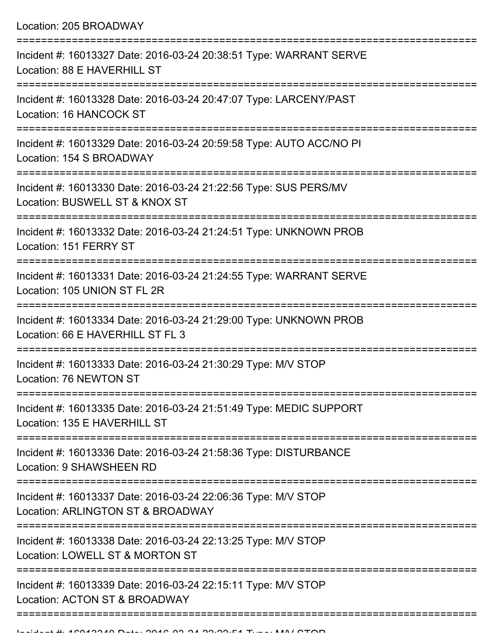| Location: 205 BROADWAY                                                                                |
|-------------------------------------------------------------------------------------------------------|
| Incident #: 16013327 Date: 2016-03-24 20:38:51 Type: WARRANT SERVE<br>Location: 88 E HAVERHILL ST     |
| Incident #: 16013328 Date: 2016-03-24 20:47:07 Type: LARCENY/PAST<br>Location: 16 HANCOCK ST          |
| Incident #: 16013329 Date: 2016-03-24 20:59:58 Type: AUTO ACC/NO PI<br>Location: 154 S BROADWAY       |
| Incident #: 16013330 Date: 2016-03-24 21:22:56 Type: SUS PERS/MV<br>Location: BUSWELL ST & KNOX ST    |
| Incident #: 16013332 Date: 2016-03-24 21:24:51 Type: UNKNOWN PROB<br>Location: 151 FERRY ST           |
| Incident #: 16013331 Date: 2016-03-24 21:24:55 Type: WARRANT SERVE<br>Location: 105 UNION ST FL 2R    |
| Incident #: 16013334 Date: 2016-03-24 21:29:00 Type: UNKNOWN PROB<br>Location: 66 E HAVERHILL ST FL 3 |
| Incident #: 16013333 Date: 2016-03-24 21:30:29 Type: M/V STOP<br>Location: 76 NEWTON ST               |
| Incident #: 16013335 Date: 2016-03-24 21:51:49 Type: MEDIC SUPPORT<br>Location: 135 E HAVERHILL ST    |
| Incident #: 16013336 Date: 2016-03-24 21:58:36 Type: DISTURBANCE<br>Location: 9 SHAWSHEEN RD          |
| Incident #: 16013337 Date: 2016-03-24 22:06:36 Type: M/V STOP<br>Location: ARLINGTON ST & BROADWAY    |
| Incident #: 16013338 Date: 2016-03-24 22:13:25 Type: M/V STOP<br>Location: LOWELL ST & MORTON ST      |
| Incident #: 16013339 Date: 2016-03-24 22:15:11 Type: M/V STOP<br>Location: ACTON ST & BROADWAY        |
|                                                                                                       |